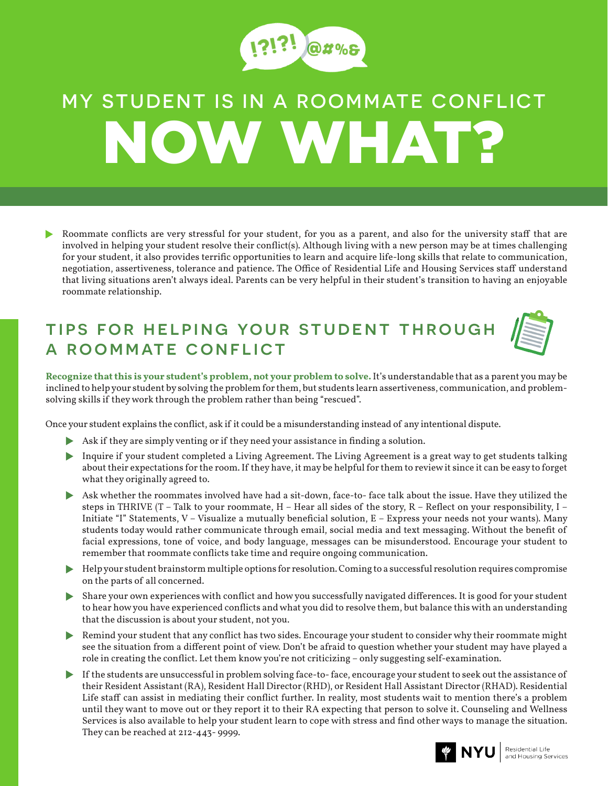

# MY STUDENT IS IN A ROOMMATE CONFLICT NOW WHAT?

 $\blacktriangleright$ Roommate conflicts are very stressful for your student, for you as a parent, and also for the university staff that are involved in helping your student resolve their conflict(s). Although living with a new person may be at times challenging for your student, it also provides terrific opportunities to learn and acquire life-long skills that relate to communication, negotiation, assertiveness, tolerance and patience. The Office of Residential Life and Housing Services staff understand that living situations aren't always ideal. Parents can be very helpful in their student's transition to having an enjoyable roommate relationship.

# tips for helping your student through a roommate conflict



**Recognize that this is your student's problem, not your problem to solve.**It's understandable that as a parent you may be inclined to help your student by solving the problem for them, but students learn assertiveness, communication, and problemsolving skills if they work through the problem rather than being "rescued".

Once your student explains the conflict, ask if it could be a misunderstanding instead of any intentional dispute.

- Ask if they are simply venting or if they need your assistance in finding a solution.
- Inquire if your student completed a Living Agreement. The Living Agreement is a great way to get students talking about their expectations for the room. If they have, it may be helpful for them to review it since it can be easy to forget what they originally agreed to.
- Ask whether the roommates involved have had a sit-down, face-to- face talk about the issue. Have they utilized the steps in THRIVE (T – Talk to your roommate, H – Hear all sides of the story, R – Reflect on your responsibility, I – Initiate "I" Statements, V – Visualize a mutually beneficial solution, E – Express your needs not your wants). Many students today would rather communicate through email, social media and text messaging. Without the benefit of facial expressions, tone of voice, and body language, messages can be misunderstood. Encourage your student to remember that roommate conflicts take time and require ongoing communication.
- Help your student brainstorm multiple options for resolution. Coming to a successful resolution requires compromise on the parts of all concerned.
- Share your own experiences with conflict and how you successfully navigated differences. It is good for your student to hear how you have experienced conflicts and what you did to resolve them, but balance this with an understanding that the discussion is about your student, not you.
- Remind your student that any conflict has two sides. Encourage your student to consider why their roommate might see the situation from a different point of view. Don't be afraid to question whether your student may have played a role in creating the conflict. Let them know you're not criticizing – only suggesting self-examination.
- If the students are unsuccessful in problem solving face-to- face, encourage your student to seek out the assistance of their Resident Assistant (RA), Resident Hall Director (RHD), or Resident Hall Assistant Director (RHAD). Residential Life staff can assist in mediating their conflict further. In reality, most students wait to mention there's a problem until they want to move out or they report it to their RA expecting that person to solve it. Counseling and Wellness Services is also available to help your student learn to cope with stress and find other ways to manage the situation. They can be reached at 212-443- 9999.